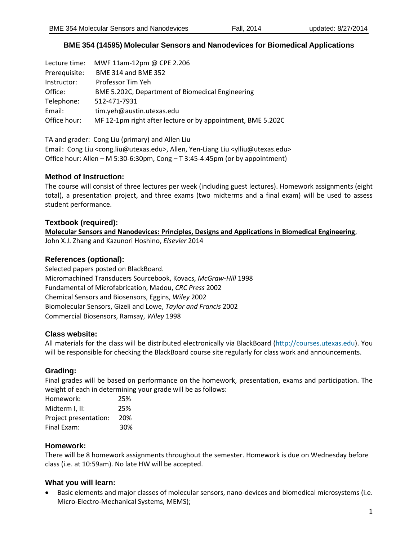## **BME 354 (14595) Molecular Sensors and Nanodevices for Biomedical Applications**

| Lecture time: | MWF 11am-12pm @ CPE 2.206                                   |
|---------------|-------------------------------------------------------------|
| Prerequisite: | <b>BME 314 and BME 352</b>                                  |
| Instructor:   | Professor Tim Yeh                                           |
| Office:       | BME 5.202C, Department of Biomedical Engineering            |
| Telephone:    | 512-471-7931                                                |
| Email:        | tim.yeh@austin.utexas.edu                                   |
| Office hour:  | MF 12-1pm right after lecture or by appointment, BME 5.202C |

TA and grader: Cong Liu (primary) and Allen Liu Email: Cong Liu <cong.liu@utexas.edu>, Allen, Yen-Liang Liu <ylliu@utexas.edu> Office hour: Allen – M 5:30-6:30pm, Cong – T 3:45-4:45pm (or by appointment)

### **Method of Instruction:**

The course will consist of three lectures per week (including guest lectures). Homework assignments (eight total), a presentation project, and three exams (two midterms and a final exam) will be used to assess student performance.

### **Textbook (required):**

**Molecular Sensors and Nanodevices: Principles, Designs and Applications in Biomedical Engineering**, John X.J. Zhang and Kazunori Hoshino, *Elsevier* 2014

### **References (optional):**

Selected papers posted on BlackBoard. Micromachined Transducers Sourcebook, Kovacs, *McGraw-Hill* 1998 Fundamental of Microfabrication, Madou, *CRC Press* 2002 Chemical Sensors and Biosensors, Eggins, *Wiley* 2002 Biomolecular Sensors, Gizeli and Lowe, *Taylor and Francis* 2002 Commercial Biosensors, Ramsay, *Wiley* 1998

### **Class website:**

All materials for the class will be distributed electronically via BlackBoard (http://courses.utexas.edu). You will be responsible for checking the BlackBoard course site regularly for class work and announcements.

### **Grading:**

Final grades will be based on performance on the homework, presentation, exams and participation. The weight of each in determining your grade will be as follows:

| Homework:             | 25% |
|-----------------------|-----|
| Midterm I, II:        | 25% |
| Project presentation: | 20% |
| Final Exam:           | 30% |

### **Homework:**

There will be 8 homework assignments throughout the semester. Homework is due on Wednesday before class (i.e. at 10:59am). No late HW will be accepted.

### **What you will learn:**

 Basic elements and major classes of molecular sensors, nano-devices and biomedical microsystems (i.e. Micro-Electro-Mechanical Systems, MEMS);